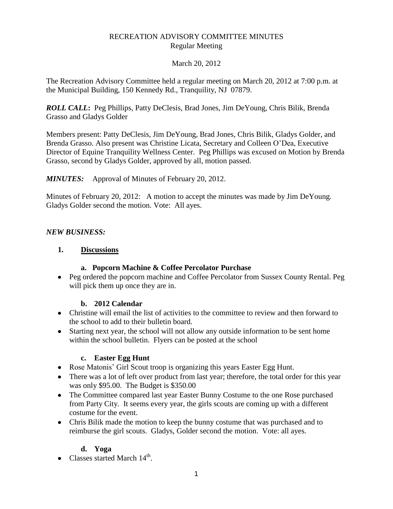## RECREATION ADVISORY COMMITTEE MINUTES Regular Meeting

#### March 20, 2012

The Recreation Advisory Committee held a regular meeting on March 20, 2012 at 7:00 p.m. at the Municipal Building, 150 Kennedy Rd., Tranquility, NJ 07879.

*ROLL CALL***:** Peg Phillips, Patty DeClesis, Brad Jones, Jim DeYoung, Chris Bilik, Brenda Grasso and Gladys Golder

Members present: Patty DeClesis, Jim DeYoung, Brad Jones, Chris Bilik, Gladys Golder, and Brenda Grasso. Also present was Christine Licata, Secretary and Colleen O'Dea, Executive Director of Equine Tranquility Wellness Center. Peg Phillips was excused on Motion by Brenda Grasso, second by Gladys Golder, approved by all, motion passed.

*MINUTES:* Approval of Minutes of February 20, 2012.

Minutes of February 20, 2012: A motion to accept the minutes was made by Jim DeYoung. Gladys Golder second the motion. Vote: All ayes.

#### *NEW BUSINESS:*

#### **1. Discussions**

## **a. Popcorn Machine & Coffee Percolator Purchase**

• Peg ordered the popcorn machine and Coffee Percolator from Sussex County Rental. Peg will pick them up once they are in.

## **b. 2012 Calendar**

- Christine will email the list of activities to the committee to review and then forward to the school to add to their bulletin board.
- Starting next year, the school will not allow any outside information to be sent home within the school bulletin. Flyers can be posted at the school

#### **c. Easter Egg Hunt**

- Rose Matonis' Girl Scout troop is organizing this years Easter Egg Hunt.
- There was a lot of left over product from last year; therefore, the total order for this year was only \$95.00. The Budget is \$350.00
- The Committee compared last year Easter Bunny Costume to the one Rose purchased from Party City. It seems every year, the girls scouts are coming up with a different costume for the event.
- Chris Bilik made the motion to keep the bunny costume that was purchased and to reimburse the girl scouts. Gladys, Golder second the motion. Vote: all ayes.

## **d. Yoga**

Classes started March  $14<sup>th</sup>$ .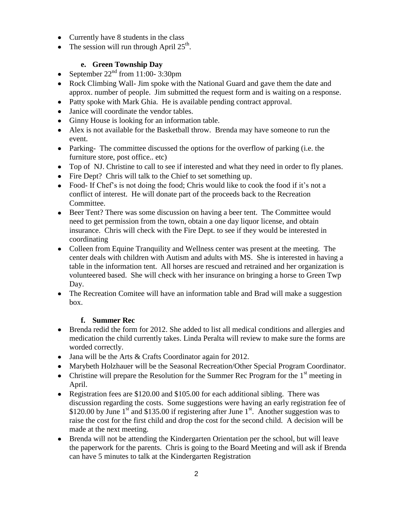- Currently have 8 students in the class
- The session will run through April  $25<sup>th</sup>$ .

# **e. Green Township Day**

- September  $22<sup>nd</sup>$  from 11:00- 3:30pm
- Rock Climbing Wall- Jim spoke with the National Guard and gave them the date and approx. number of people. Jim submitted the request form and is waiting on a response.
- Patty spoke with Mark Ghia. He is available pending contract approval.
- Janice will coordinate the vendor tables.
- Ginny House is looking for an information table.
- Alex is not available for the Basketball throw. Brenda may have someone to run the event.
- Parking- The committee discussed the options for the overflow of parking (i.e. the furniture store, post office.. etc)
- Top of NJ. Christine to call to see if interested and what they need in order to fly planes.
- Fire Dept? Chris will talk to the Chief to set something up.
- Food- If Chef's is not doing the food; Chris would like to cook the food if it's not a conflict of interest. He will donate part of the proceeds back to the Recreation Committee.
- Beer Tent? There was some discussion on having a beer tent. The Committee would need to get permission from the town, obtain a one day liquor license, and obtain insurance. Chris will check with the Fire Dept. to see if they would be interested in coordinating
- Colleen from Equine Tranquility and Wellness center was present at the meeting. The center deals with children with Autism and adults with MS. She is interested in having a table in the information tent. All horses are rescued and retrained and her organization is volunteered based. She will check with her insurance on bringing a horse to Green Twp Day.
- The Recreation Comitee will have an information table and Brad will make a suggestion  $h(x)$

## **f. Summer Rec**

- Brenda redid the form for 2012. She added to list all medical conditions and allergies and medication the child currently takes. Linda Peralta will review to make sure the forms are worded correctly.
- Jana will be the Arts & Crafts Coordinator again for 2012.
- Marybeth Holzhauer will be the Seasonal Recreation/Other Special Program Coordinator.
- Christine will prepare the Resolution for the Summer Rec Program for the  $1<sup>st</sup>$  meeting in April.
- Registration fees are \$120.00 and \$105.00 for each additional sibling. There was discussion regarding the costs. Some suggestions were having an early registration fee of \$120.00 by June  $1<sup>st</sup>$  and \$135.00 if registering after June  $1<sup>st</sup>$ . Another suggestion was to raise the cost for the first child and drop the cost for the second child. A decision will be made at the next meeting.
- Brenda will not be attending the Kindergarten Orientation per the school, but will leave the paperwork for the parents. Chris is going to the Board Meeting and will ask if Brenda can have 5 minutes to talk at the Kindergarten Registration